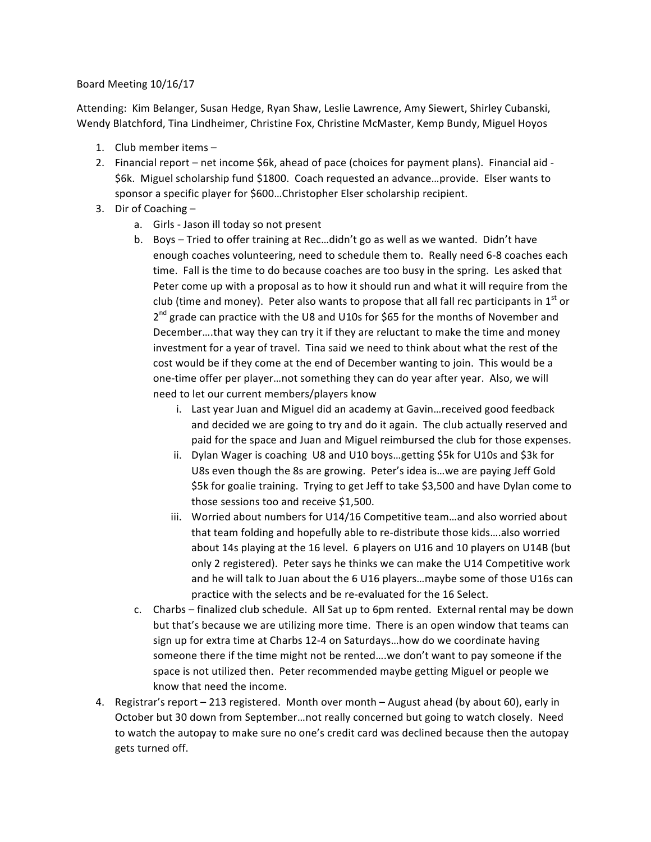## Board Meeting 10/16/17

Attending: Kim Belanger, Susan Hedge, Ryan Shaw, Leslie Lawrence, Amy Siewert, Shirley Cubanski, Wendy Blatchford, Tina Lindheimer, Christine Fox, Christine McMaster, Kemp Bundy, Miguel Hoyos

- 1. Club member items  $-$
- 2. Financial report net income \$6k, ahead of pace (choices for payment plans). Financial aid -\$6k. Miguel scholarship fund \$1800. Coach requested an advance...provide. Elser wants to sponsor a specific player for \$600...Christopher Elser scholarship recipient.
- 3. Dir of Coaching  $$ 
	- a. Girls Jason ill today so not present
	- b. Boys Tried to offer training at Rec...didn't go as well as we wanted. Didn't have enough coaches volunteering, need to schedule them to. Really need 6-8 coaches each time. Fall is the time to do because coaches are too busy in the spring. Les asked that Peter come up with a proposal as to how it should run and what it will require from the club (time and money). Peter also wants to propose that all fall rec participants in  $1<sup>st</sup>$  or  $2<sup>nd</sup>$  grade can practice with the U8 and U10s for \$65 for the months of November and December....that way they can try it if they are reluctant to make the time and money investment for a year of travel. Tina said we need to think about what the rest of the cost would be if they come at the end of December wanting to join. This would be a one-time offer per player...not something they can do year after year. Also, we will need to let our current members/players know
		- i. Last year Juan and Miguel did an academy at Gavin...received good feedback and decided we are going to try and do it again. The club actually reserved and paid for the space and Juan and Miguel reimbursed the club for those expenses.
		- ii. Dylan Wager is coaching U8 and U10 boys...getting \$5k for U10s and \$3k for U8s even though the 8s are growing. Peter's idea is...we are paying Jeff Gold \$5k for goalie training. Trying to get Jeff to take \$3,500 and have Dylan come to those sessions too and receive \$1,500.
		- iii. Worried about numbers for U14/16 Competitive team...and also worried about that team folding and hopefully able to re-distribute those kids....also worried about 14s playing at the 16 level. 6 players on U16 and 10 players on U14B (but only 2 registered). Peter says he thinks we can make the U14 Competitive work and he will talk to Juan about the 6 U16 players...maybe some of those U16s can practice with the selects and be re-evaluated for the 16 Select.
	- c. Charbs finalized club schedule. All Sat up to 6pm rented. External rental may be down but that's because we are utilizing more time. There is an open window that teams can sign up for extra time at Charbs 12-4 on Saturdays...how do we coordinate having someone there if the time might not be rented....we don't want to pay someone if the space is not utilized then. Peter recommended maybe getting Miguel or people we know that need the income.
- 4. Registrar's report 213 registered. Month over month August ahead (by about 60), early in October but 30 down from September...not really concerned but going to watch closely. Need to watch the autopay to make sure no one's credit card was declined because then the autopay gets turned off.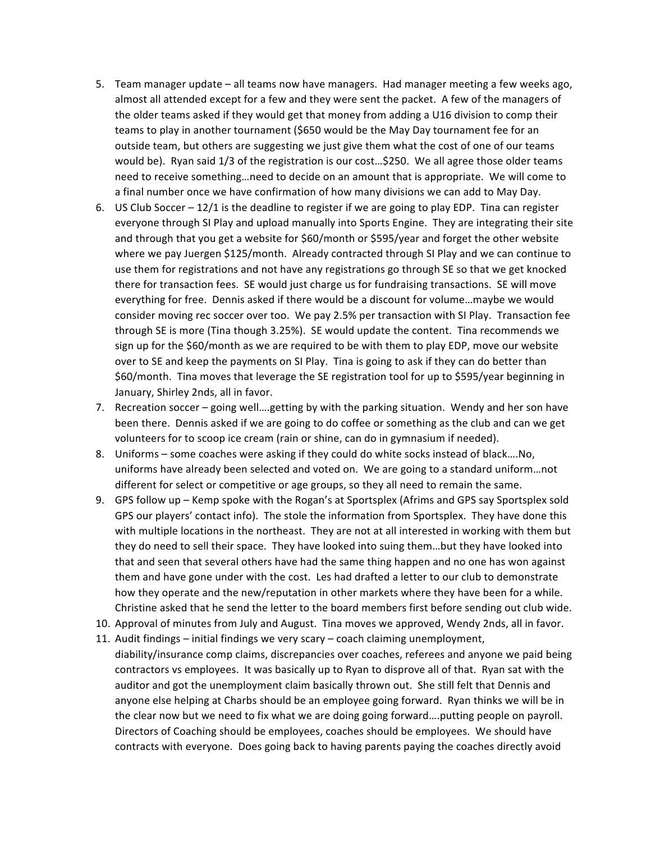- 5. Team manager update all teams now have managers. Had manager meeting a few weeks ago, almost all attended except for a few and they were sent the packet. A few of the managers of the older teams asked if they would get that money from adding a U16 division to comp their teams to play in another tournament (\$650 would be the May Day tournament fee for an outside team, but others are suggesting we just give them what the cost of one of our teams would be). Ryan said 1/3 of the registration is our cost...\$250. We all agree those older teams need to receive something...need to decide on an amount that is appropriate. We will come to a final number once we have confirmation of how many divisions we can add to May Day.
- 6. US Club Soccer  $-12/1$  is the deadline to register if we are going to play EDP. Tina can register everyone through SI Play and upload manually into Sports Engine. They are integrating their site and through that you get a website for \$60/month or \$595/year and forget the other website where we pay Juergen \$125/month. Already contracted through SI Play and we can continue to use them for registrations and not have any registrations go through SE so that we get knocked there for transaction fees. SE would just charge us for fundraising transactions. SE will move everything for free. Dennis asked if there would be a discount for volume...maybe we would consider moving rec soccer over too. We pay 2.5% per transaction with SI Play. Transaction fee through SE is more (Tina though 3.25%). SE would update the content. Tina recommends we sign up for the \$60/month as we are required to be with them to play EDP, move our website over to SE and keep the payments on SI Play. Tina is going to ask if they can do better than \$60/month. Tina moves that leverage the SE registration tool for up to \$595/year beginning in January, Shirley 2nds, all in favor.
- 7. Recreation soccer going well....getting by with the parking situation. Wendy and her son have been there. Dennis asked if we are going to do coffee or something as the club and can we get volunteers for to scoop ice cream (rain or shine, can do in gymnasium if needed).
- 8. Uniforms some coaches were asking if they could do white socks instead of black....No, uniforms have already been selected and voted on. We are going to a standard uniform...not different for select or competitive or age groups, so they all need to remain the same.
- 9. GPS follow up Kemp spoke with the Rogan's at Sportsplex (Afrims and GPS say Sportsplex sold GPS our players' contact info). The stole the information from Sportsplex. They have done this with multiple locations in the northeast. They are not at all interested in working with them but they do need to sell their space. They have looked into suing them...but they have looked into that and seen that several others have had the same thing happen and no one has won against them and have gone under with the cost. Les had drafted a letter to our club to demonstrate how they operate and the new/reputation in other markets where they have been for a while. Christine asked that he send the letter to the board members first before sending out club wide.
- 10. Approval of minutes from July and August. Tina moves we approved, Wendy 2nds, all in favor.
- 11. Audit findings initial findings we very scary coach claiming unemployment, diability/insurance comp claims, discrepancies over coaches, referees and anyone we paid being contractors vs employees. It was basically up to Ryan to disprove all of that. Ryan sat with the auditor and got the unemployment claim basically thrown out. She still felt that Dennis and anyone else helping at Charbs should be an employee going forward. Ryan thinks we will be in the clear now but we need to fix what we are doing going forward....putting people on payroll. Directors of Coaching should be employees, coaches should be employees. We should have contracts with everyone. Does going back to having parents paying the coaches directly avoid